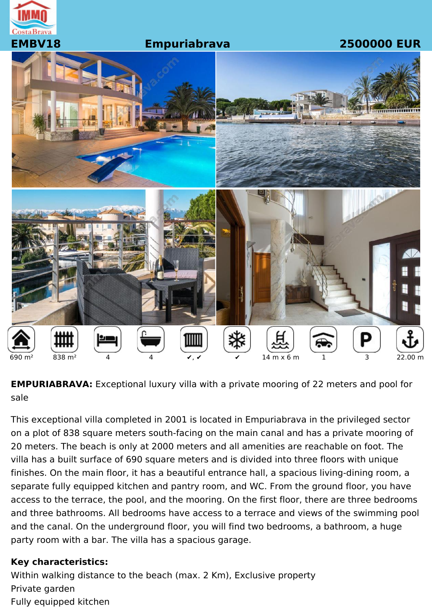

#### **EMBV18 Empuriabrava 2500000 EUR**



**EMPURIABRAVA:** Exceptional luxury villa with a private mooring of 22 meters and pool for sale

This exceptional villa completed in 2001 is located in Empuriabrava in the privileged sector on a plot of 838 square meters south-facing on the main canal and has a private mooring of 20 meters. The beach is only at 2000 meters and all amenities are reachable on foot. The villa has a built surface of 690 square meters and is divided into three floors with unique finishes. On the main floor, it has a beautiful entrance hall, a spacious living-dining room, a separate fully equipped kitchen and pantry room, and WC. From the ground floor, you have access to the terrace, the pool, and the mooring. On the first floor, there are three bedrooms and three bathrooms. All bedrooms have access to a terrace and views of the swimming pool and the canal. On the underground floor, you will find two bedrooms, a bathroom, a huge party room with a bar. The villa has a spacious garage.

#### **Key characteristics:**

Within walking distance to the beach (max. 2 Km), Exclusive property Private garden Fully equipped kitchen